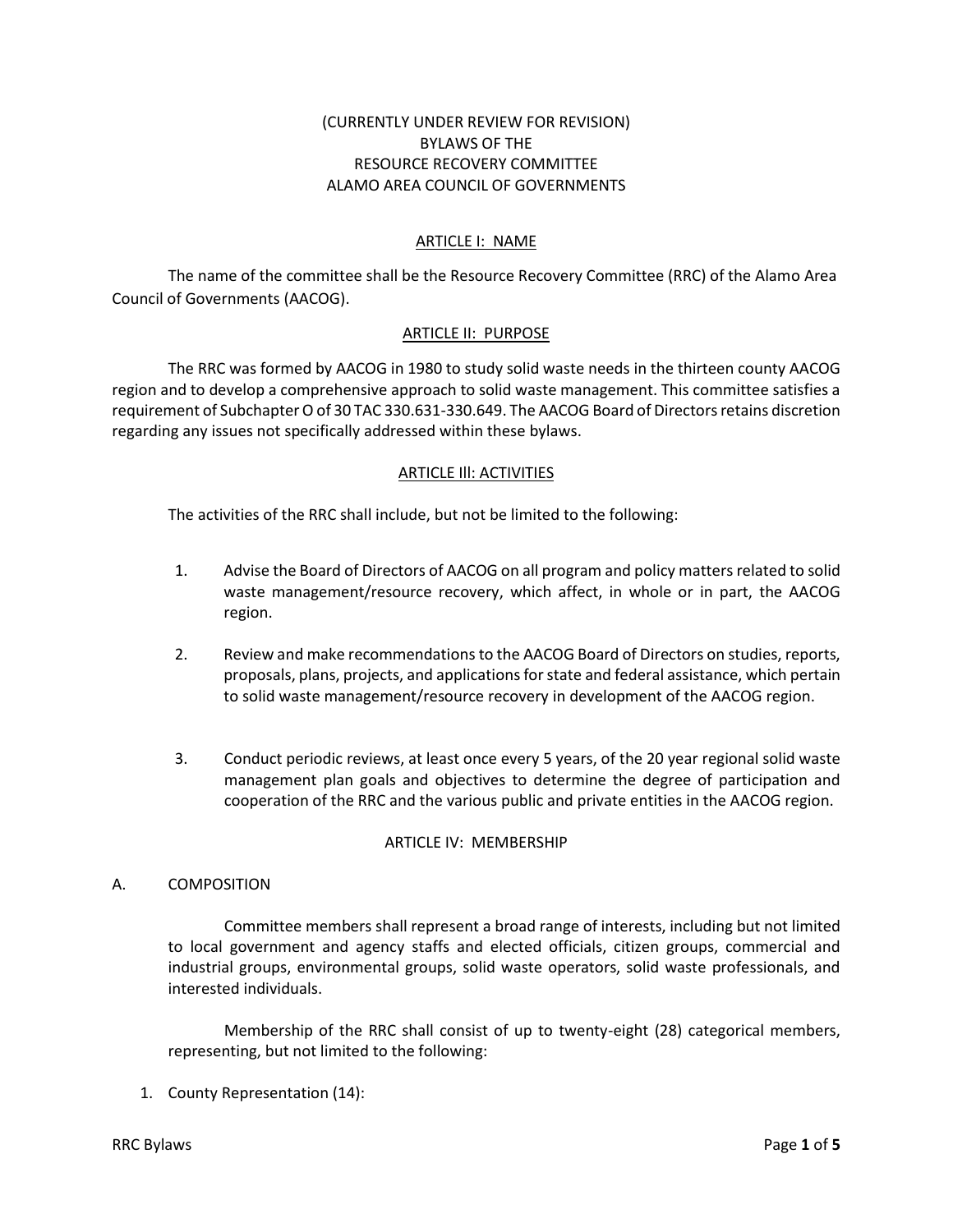# (CURRENTLY UNDER REVIEW FOR REVISION) BYLAWS OF THE RESOURCE RECOVERY COMMITTEE ALAMO AREA COUNCIL OF GOVERNMENTS

## ARTICLE I: NAME

The name of the committee shall be the Resource Recovery Committee (RRC) of the Alamo Area Council of Governments (AACOG).

## ARTICLE II: PURPOSE

The RRC was formed by AACOG in 1980 to study solid waste needs in the thirteen county AACOG region and to develop a comprehensive approach to solid waste management. This committee satisfies a requirement of Subchapter O of 30 TAC 330.631-330.649. The AACOG Board of Directors retains discretion regarding any issues not specifically addressed within these bylaws.

### ARTICLE Ill: ACTIVITIES

The activities of the RRC shall include, but not be limited to the following:

- 1. Advise the Board of Directors of AACOG on all program and policy matters related to solid waste management/resource recovery, which affect, in whole or in part, the AACOG region.
- 2. Review and make recommendations to the AACOG Board of Directors on studies, reports, proposals, plans, projects, and applications for state and federal assistance, which pertain to solid waste management/resource recovery in development of the AACOG region.
- 3. Conduct periodic reviews, at least once every 5 years, of the 20 year regional solid waste management plan goals and objectives to determine the degree of participation and cooperation of the RRC and the various public and private entities in the AACOG region.

#### ARTICLE IV: MEMBERSHIP

#### A. COMPOSITION

Committee members shall represent a broad range of interests, including but not limited to local government and agency staffs and elected officials, citizen groups, commercial and industrial groups, environmental groups, solid waste operators, solid waste professionals, and interested individuals.

Membership of the RRC shall consist of up to twenty-eight (28) categorical members, representing, but not limited to the following:

1. County Representation (14):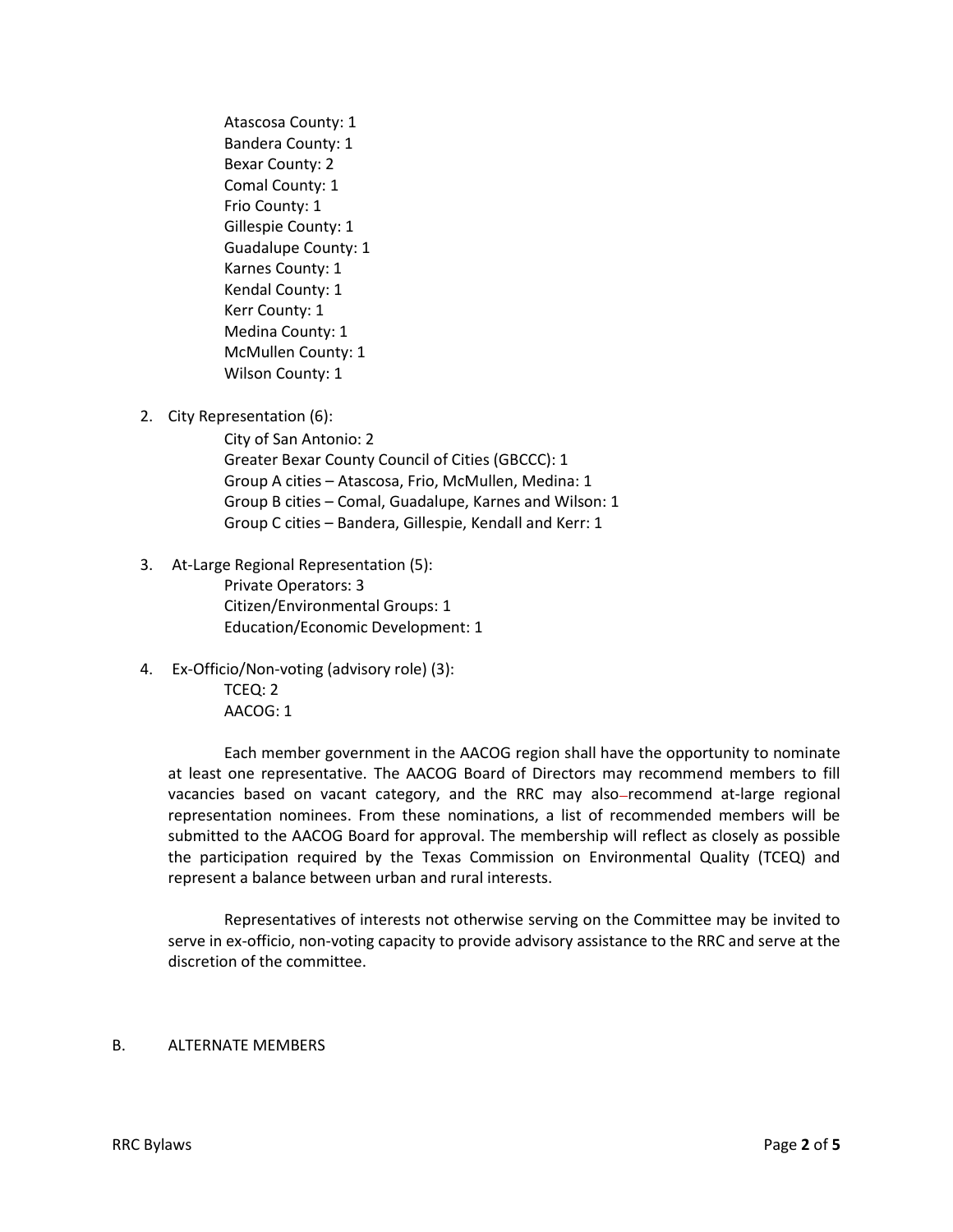Atascosa County: 1 Bandera County: 1 Bexar County: 2 Comal County: 1 Frio County: 1 Gillespie County: 1 Guadalupe County: 1 Karnes County: 1 Kendal County: 1 Kerr County: 1 Medina County: 1 McMullen County: 1 Wilson County: 1

2. City Representation (6):

City of San Antonio: 2 Greater Bexar County Council of Cities (GBCCC): 1 Group A cities – Atascosa, Frio, McMullen, Medina: 1 Group B cities – Comal, Guadalupe, Karnes and Wilson: 1 Group C cities – Bandera, Gillespie, Kendall and Kerr: 1

- 3. At-Large Regional Representation (5): Private Operators: 3 Citizen/Environmental Groups: 1 Education/Economic Development: 1
- 4. Ex-Officio/Non-voting (advisory role) (3): TCEQ: 2 AACOG: 1

Each member government in the AACOG region shall have the opportunity to nominate at least one representative. The AACOG Board of Directors may recommend members to fill vacancies based on vacant category, and the RRC may also-recommend at-large regional representation nominees. From these nominations, a list of recommended members will be submitted to the AACOG Board for approval. The membership will reflect as closely as possible the participation required by the Texas Commission on Environmental Quality (TCEQ) and represent a balance between urban and rural interests.

Representatives of interests not otherwise serving on the Committee may be invited to serve in ex-officio, non-voting capacity to provide advisory assistance to the RRC and serve at the discretion of the committee.

#### B. ALTERNATE MEMBERS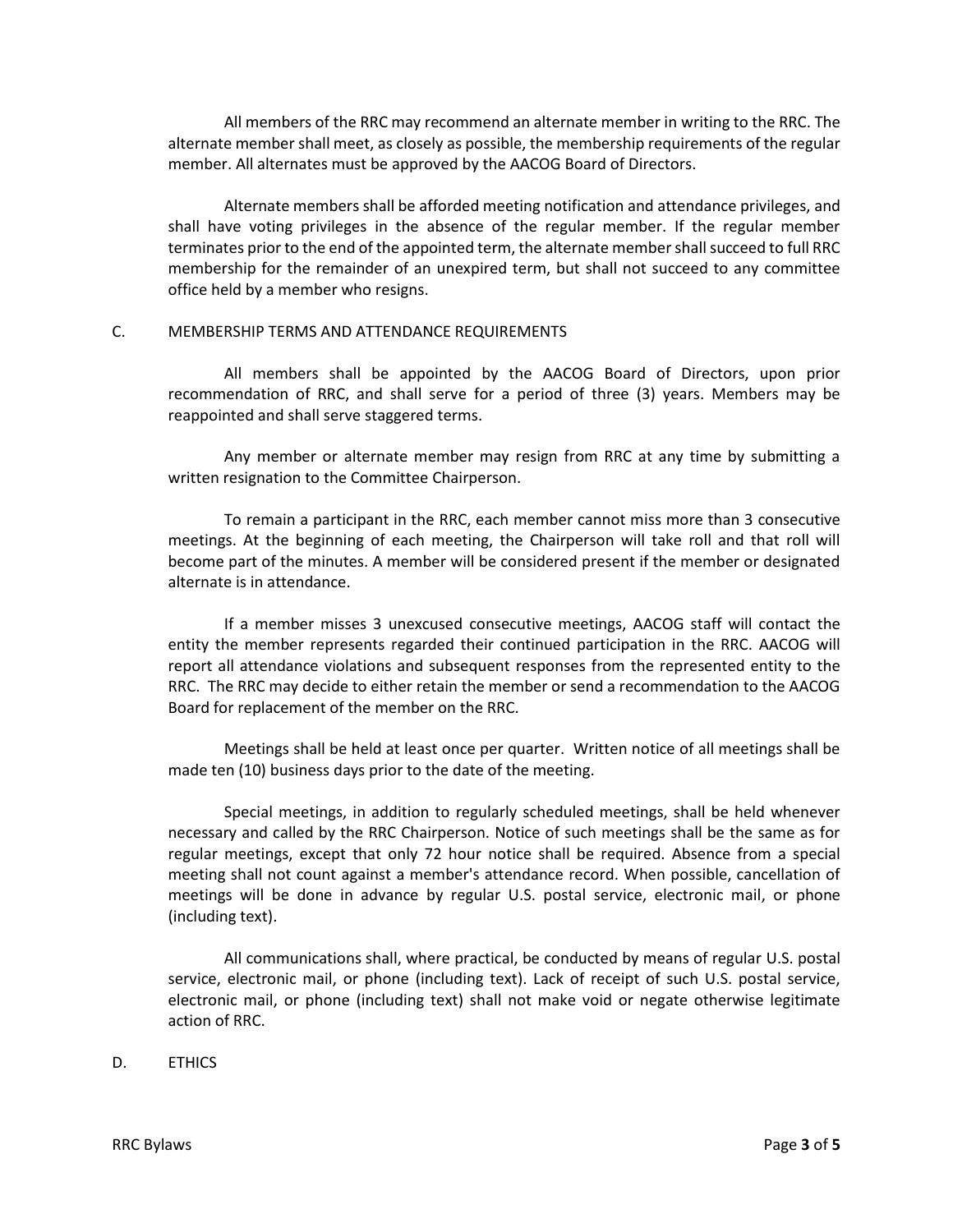All members of the RRC may recommend an alternate member in writing to the RRC. The alternate member shall meet, as closely as possible, the membership requirements of the regular member. All alternates must be approved by the AACOG Board of Directors.

Alternate members shall be afforded meeting notification and attendance privileges, and shall have voting privileges in the absence of the regular member. If the regular member terminates prior to the end of the appointed term, the alternate member shall succeed to full RRC membership for the remainder of an unexpired term, but shall not succeed to any committee office held by a member who resigns.

#### C. MEMBERSHIP TERMS AND ATTENDANCE REQUIREMENTS

All members shall be appointed by the AACOG Board of Directors, upon prior recommendation of RRC, and shall serve for a period of three (3) years. Members may be reappointed and shall serve staggered terms.

Any member or alternate member may resign from RRC at any time by submitting a written resignation to the Committee Chairperson.

To remain a participant in the RRC, each member cannot miss more than 3 consecutive meetings. At the beginning of each meeting, the Chairperson will take roll and that roll will become part of the minutes. A member will be considered present if the member or designated alternate is in attendance.

If a member misses 3 unexcused consecutive meetings, AACOG staff will contact the entity the member represents regarded their continued participation in the RRC. AACOG will report all attendance violations and subsequent responses from the represented entity to the RRC. The RRC may decide to either retain the member or send a recommendation to the AACOG Board for replacement of the member on the RRC.

Meetings shall be held at least once per quarter. Written notice of all meetings shall be made ten (10) business days prior to the date of the meeting.

Special meetings, in addition to regularly scheduled meetings, shall be held whenever necessary and called by the RRC Chairperson. Notice of such meetings shall be the same as for regular meetings, except that only 72 hour notice shall be required. Absence from a special meeting shall not count against a member's attendance record. When possible, cancellation of meetings will be done in advance by regular U.S. postal service, electronic mail, or phone (including text).

All communications shall, where practical, be conducted by means of regular U.S. postal service, electronic mail, or phone (including text). Lack of receipt of such U.S. postal service, electronic mail, or phone (including text) shall not make void or negate otherwise legitimate action of RRC.

D. ETHICS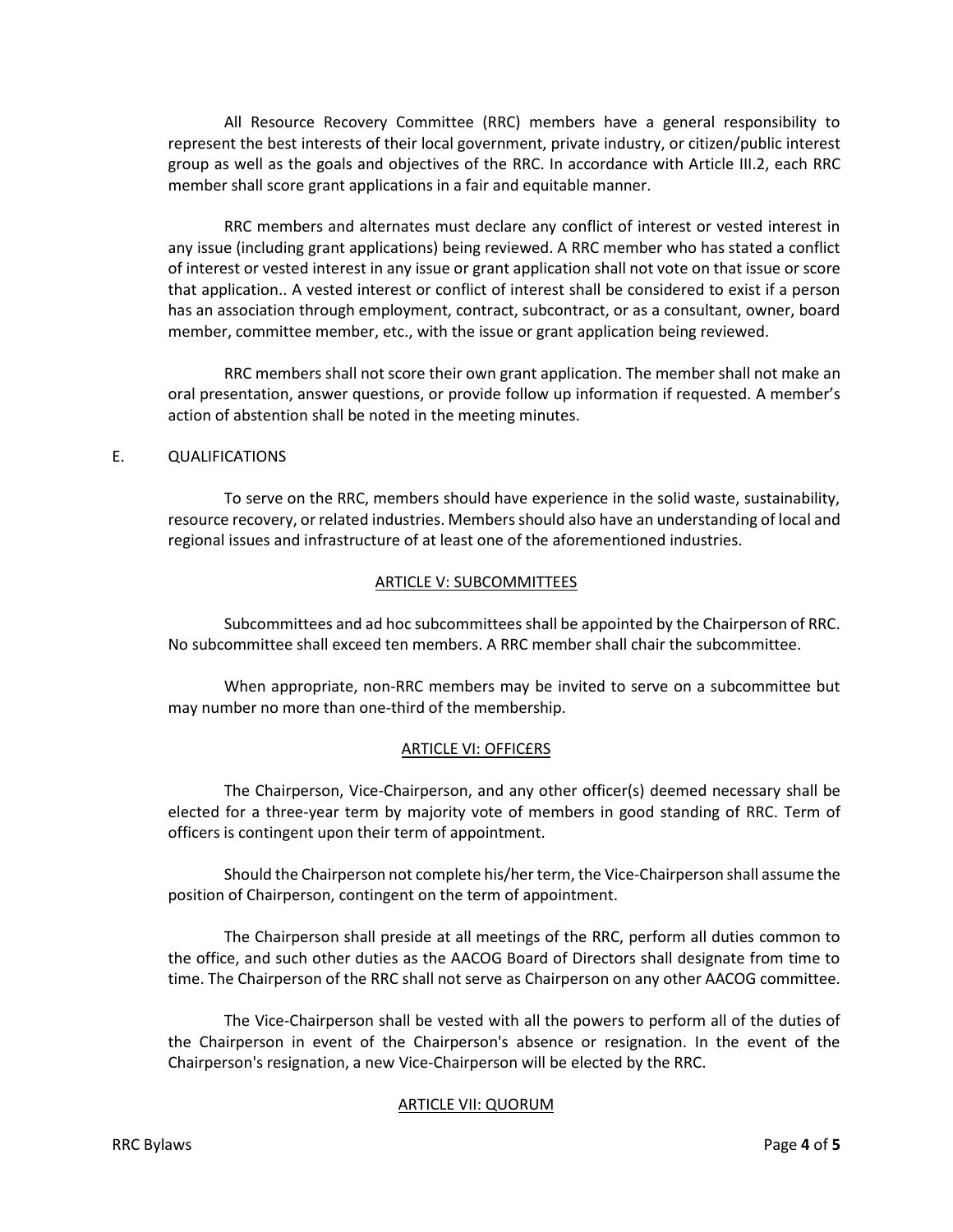All Resource Recovery Committee (RRC) members have a general responsibility to represent the best interests of their local government, private industry, or citizen/public interest group as well as the goals and objectives of the RRC. In accordance with Article III.2, each RRC member shall score grant applications in a fair and equitable manner.

RRC members and alternates must declare any conflict of interest or vested interest in any issue (including grant applications) being reviewed. A RRC member who has stated a conflict of interest or vested interest in any issue or grant application shall not vote on that issue or score that application.. A vested interest or conflict of interest shall be considered to exist if a person has an association through employment, contract, subcontract, or as a consultant, owner, board member, committee member, etc., with the issue or grant application being reviewed.

RRC members shall not score their own grant application. The member shall not make an oral presentation, answer questions, or provide follow up information if requested. A member's action of abstention shall be noted in the meeting minutes.

### E. QUALIFICATIONS

To serve on the RRC, members should have experience in the solid waste, sustainability, resource recovery, or related industries. Members should also have an understanding of local and regional issues and infrastructure of at least one of the aforementioned industries.

### ARTICLE V: SUBCOMMITTEES

Subcommittees and ad hoc subcommittees shall be appointed by the Chairperson of RRC. No subcommittee shall exceed ten members. A RRC member shall chair the subcommittee.

When appropriate, non-RRC members may be invited to serve on a subcommittee but may number no more than one-third of the membership.

## ARTICLE VI: OFFIC£RS

The Chairperson, Vice-Chairperson, and any other officer(s) deemed necessary shall be elected for a three-year term by majority vote of members in good standing of RRC. Term of officers is contingent upon their term of appointment.

Should the Chairperson not complete his/her term, the Vice-Chairperson shall assume the position of Chairperson, contingent on the term of appointment.

The Chairperson shall preside at all meetings of the RRC, perform all duties common to the office, and such other duties as the AACOG Board of Directors shall designate from time to time. The Chairperson of the RRC shall not serve as Chairperson on any other AACOG committee.

The Vice-Chairperson shall be vested with all the powers to perform all of the duties of the Chairperson in event of the Chairperson's absence or resignation. In the event of the Chairperson's resignation, a new Vice-Chairperson will be elected by the RRC.

#### ARTICLE VII: QUORUM